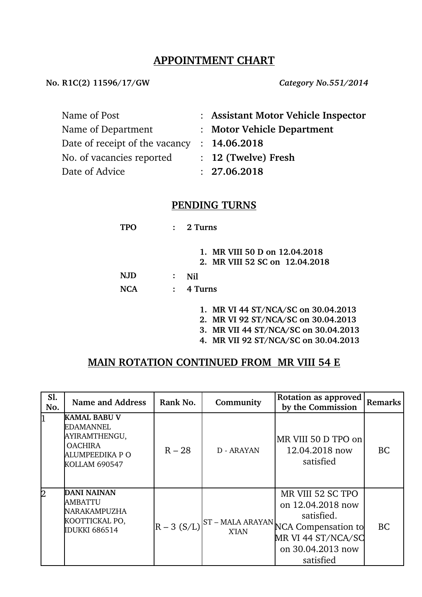# **APPOINTMENT CHART**

**No. R1C(2) 11596/17/GW** *Category No.551/2014*

| Name of Post                                | : Assistant Motor Vehicle Inspector |
|---------------------------------------------|-------------------------------------|
| Name of Department                          | : Motor Vehicle Department          |
| Date of receipt of the vacancy : 14.06.2018 |                                     |
| No. of vacancies reported                   | $: 12$ (Twelve) Fresh               |
| Date of Advice                              | : 27.06.2018                        |

#### **PENDING TURNS**

| TPO  | $\mathbf{L}$   | 2 Turns                                                                                                            |
|------|----------------|--------------------------------------------------------------------------------------------------------------------|
|      |                | 1. MR VIII 50 D on 12.04.2018<br>2. MR VIII 52 SC on 12.04.2018                                                    |
| N.JD | $\ddot{\cdot}$ | Nil                                                                                                                |
| NCA  | $\ddot{\cdot}$ | 4 Turns                                                                                                            |
|      |                | 1. MR VI 44 ST/NCA/SC on 30.04.2013<br>2. MR VI 92 ST/NCA/SC on 30.04.2013<br>3. MR VII 44 ST/NCA/SC on 30.04.2013 |

**4. MR VII 92 ST/NCA/SC on 30.04.2013**

## **MAIN ROTATION CONTINUED FROM MR VIII 54 E**

| Sl.<br>No. | <b>Name and Address</b>                                                                                        | Rank No.      | Community  | <b>Rotation as approved</b><br>by the Commission                                                                                                     | <b>Remarks</b> |
|------------|----------------------------------------------------------------------------------------------------------------|---------------|------------|------------------------------------------------------------------------------------------------------------------------------------------------------|----------------|
| 1          | <b>KAMAL BABU V</b><br><b>EDAMANNEL</b><br>AYIRAMTHENGU,<br><b>OACHIRA</b><br>ALUMPEEDIKA P O<br>KOLLAM 690547 | $R - 28$      | D - ARAYAN | MR VIII 50 D TPO on<br>12.04.2018 now<br>satisfied                                                                                                   | <b>BC</b>      |
| 2          | DANI NAINAN<br>AMBATTU<br>NARAKAMPUZHA<br>KOOTTICKAL PO,<br><b>IDUKKI 686514</b>                               | $R - 3 (S/L)$ |            | MR VIII 52 SC TPO<br>on 12.04.2018 now<br>satisfied.<br>ST - MALA ARAYAN NCA Compensation to<br>MR VI 44 ST/NCA/SC<br>on 30.04.2013 now<br>satisfied | <b>BC</b>      |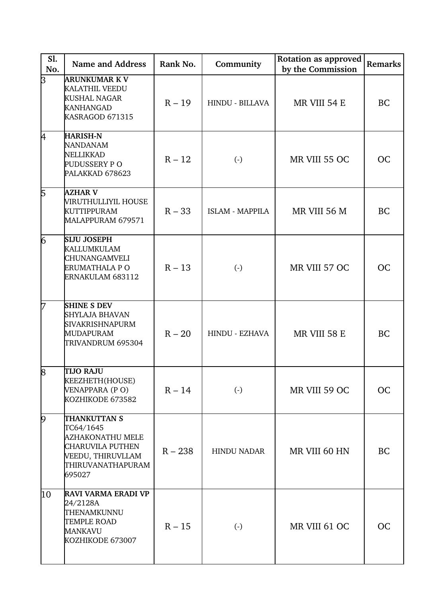| S1.<br>No.    | <b>Name and Address</b>                                                                                               | Rank No.  | Community              | <b>Rotation as approved</b><br>by the Commission | Remarks   |
|---------------|-----------------------------------------------------------------------------------------------------------------------|-----------|------------------------|--------------------------------------------------|-----------|
| þ             | ARUNKUMAR K V<br><b>KALATHIL VEEDU</b><br><b>KUSHAL NAGAR</b><br><b>KANHANGAD</b><br>KASRAGOD 671315                  | $R - 19$  | HINDU - BILLAVA        | MR VIII 54 E                                     | <b>BC</b> |
| k.            | <b>HARISH-N</b><br><b>NANDANAM</b><br>NELLIKKAD<br>PUDUSSERY P O<br>PALAKKAD 678623                                   | $R - 12$  | $\left( \cdot \right)$ | MR VIII 55 OC                                    | <b>OC</b> |
| 5             | <b>AZHAR V</b><br>MRUTHULLIYIL HOUSE<br><b>KUTTIPPURAM</b><br>MALAPPURAM 679571                                       | $R - 33$  | <b>ISLAM - MAPPILA</b> | MR VIII 56 M                                     | <b>BC</b> |
| 6             | <b>SIJU JOSEPH</b><br>KALLUMKULAM<br>CHUNANGAMVELI<br>ERUMATHALA P O<br>ERNAKULAM 683112                              | $R - 13$  | $\left( \cdot \right)$ | MR VIII 57 OC                                    | <b>OC</b> |
| 17            | <b>SHINE S DEV</b><br><b>SHYLAJA BHAVAN</b><br>SIVAKRISHNAPURM<br>MUDAPURAM<br>TRIVANDRUM 695304                      | $R - 20$  | <b>HINDU - EZHAVA</b>  | MR VIII 58 E                                     | <b>BC</b> |
| $\mathcal{B}$ | <b>TIJO RAJU</b><br>KEEZHETH(HOUSE)<br>VENAPPARA (PO)<br>KOZHIKODE 673582                                             | $R - 14$  | $\left( \cdot \right)$ | MR VIII 59 OC                                    | <b>OC</b> |
| $\varphi$     | THANKUTTAN S<br>TC64/1645<br>AZHAKONATHU MELE<br>CHARUVILA PUTHEN<br>VEEDU, THIRUVLLAM<br>THIRUVANATHAPURAM<br>695027 | $R - 238$ | <b>HINDU NADAR</b>     | MR VIII 60 HN                                    | <b>BC</b> |
| 10            | <b>RAVI VARMA ERADI VP</b><br>24/2128A<br>THENAMKUNNU<br><b>TEMPLE ROAD</b><br>MANKAVU<br>KOZHIKODE 673007            | $R - 15$  | $\left( \cdot \right)$ | MR VIII 61 OC                                    | <b>OC</b> |